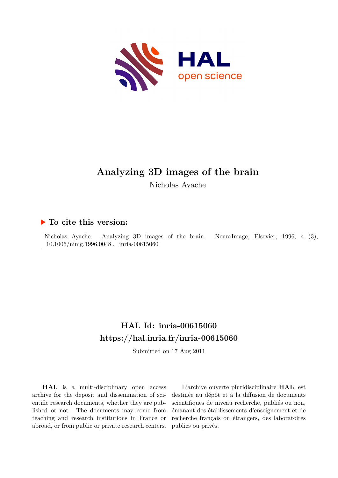

# **Analyzing 3D images of the brain** Nicholas Ayache

# **To cite this version:**

Nicholas Ayache. Analyzing 3D images of the brain. NeuroImage, Elsevier, 1996, 4 (3), 10.1006/nimg.1996.0048 . inria-00615060

# **HAL Id: inria-00615060 <https://hal.inria.fr/inria-00615060>**

Submitted on 17 Aug 2011

**HAL** is a multi-disciplinary open access archive for the deposit and dissemination of scientific research documents, whether they are published or not. The documents may come from teaching and research institutions in France or abroad, or from public or private research centers.

L'archive ouverte pluridisciplinaire **HAL**, est destinée au dépôt et à la diffusion de documents scientifiques de niveau recherche, publiés ou non, émanant des établissements d'enseignement et de recherche français ou étrangers, des laboratoires publics ou privés.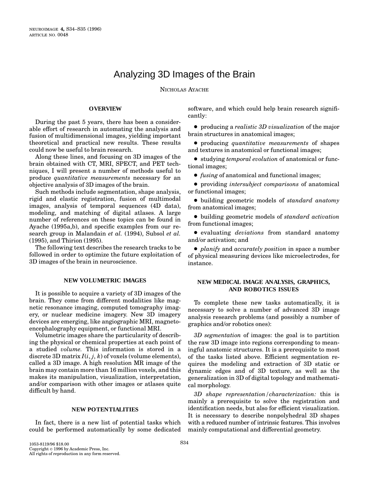# Analyzing 3D Images of the Brain

NICHOLAS AYACHE

## **OVERVIEW**

During the past 5 years, there has been a considerable effort of research in automating the analysis and fusion of multidimensional images, yielding important theoretical and practical new results. These results could now be useful to brain research.

Along these lines, and focusing on 3D images of the brain obtained with CT, MRI, SPECT, and PET techniques, I will present a number of methods useful to produce *quantitative measurements* necessary for an objective analysis of 3D images of the brain.

Such methods include segmentation, shape analysis, rigid and elastic registration, fusion of multimodal images, analysis of temporal sequences (4D data), modeling, and matching of digital atlases. A large number of references on these topics can be found in Ayache (1995a,b), and specific examples from our research group in Malandain *et al.* (1994), Subsol *et al.* (1995), and Thirion (1995).

The following text describes the research tracks to be followed in order to optimize the future exploitation of 3D images of the brain in neuroscience.

#### **NEW VOLUMETRIC IMAGES**

It is possible to acquire a variety of 3D images of the brain. They come from different modalities like magnetic resonance imaging, computed tomography imagery, or nuclear medicine imagery. New 3D imagery devices are emerging, like angiographic MRI, magnetoencephalography equipment, or functional MRI.

Volumetric images share the particularity of describing the physical or chemical properties at each point of a studied *volume.* This information is stored in a discrete 3D matrix  $I(i, j, k)$  of voxels (volume elements), called a 3D image. A high resolution MR image of the brain may contain more than 16 million voxels, and this makes its manipulation, visualization, interpretation, and/or comparison with other images or atlases quite difficult by hand.

## **NEW POTENTIALITIES**

In fact, there is a new list of potential tasks which could be performed automatically by some dedicated software, and which could help brain research significantly:

**•** producing a *realistic 3D visualization* of the major brain structures in anatomical images;

c producing *quantitative measurements* of shapes and textures in anatomical or functional images;

c studying *temporal evolution* of anatomical or functional images;

• *fusing* of anatomical and functional images;

c providing *intersubject comparisons* of anatomical or functional images;

c building geometric models of *standard anatomy* from anatomical images;

c building geometric models of *standard activation* from functional images;

c evaluating *deviations* from standard anatomy and/or activation; and

c *planify* and *accurately position* in space a number of physical measuring devices like microelectrodes, for instance.

## **NEW MEDICAL IMAGE ANALYSIS, GRAPHICS, AND ROBOTICS ISSUES**

To complete these new tasks automatically, it is necessary to solve a number of advanced 3D image analysis research problems (and possibly a number of graphics and/or robotics ones):

*3D segmentation* of images: the goal is to partition the raw 3D image into regions corresponding to meaningful anatomic structures. It is a prerequisite to most of the tasks listed above. Efficient segmentation requires the modeling and extraction of 3D static or dynamic edges and of 3D texture, as well as the generalization in 3D of digital topology and mathematical morphology.

*3D shape representation/characterization:* this is mainly a prerequisite to solve the registration and identification needs, but also for efficient visualization. It is necessary to describe nonpolyhedral 3D shapes with a reduced number of intrinsic features. This involves mainly computational and differential geometry.